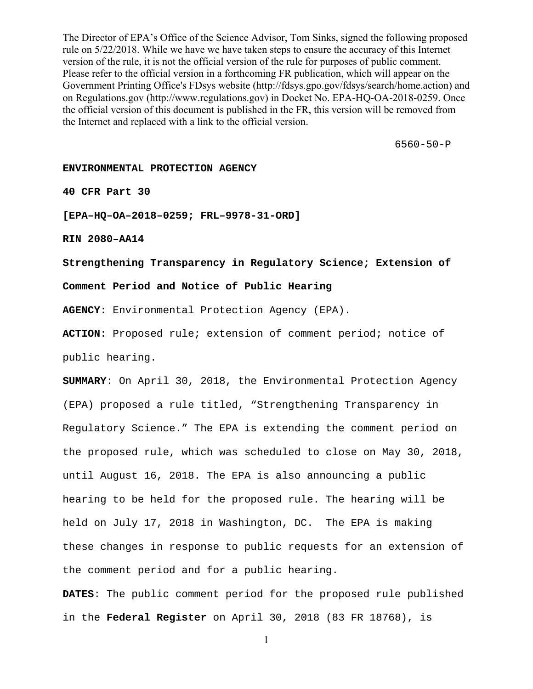The Director of EPA's Office of the Science Advisor, Tom Sinks, signed the following proposed rule on 5/22/2018. While we have we have taken steps to ensure the accuracy of this Internet version of the rule, it is not the official version of the rule for purposes of public comment. Please refer to the official version in a forthcoming FR publication, which will appear on the Government Printing Office's FDsys website (http://fdsys.gpo.gov/fdsys/search/home.action) and on Regulations.gov (http://www.regulations.gov) in Docket No. EPA-HQ-OA-2018-0259. Once the official version of this document is published in the FR, this version will be removed from the Internet and replaced with a link to the official version.

6560-50-P

## **ENVIRONMENTAL PROTECTION AGENCY**

**40 CFR Part 30** 

**[EPA–HQ–OA–2018–0259; FRL–9978-31-ORD]** 

**RIN 2080–AA14** 

**Strengthening Transparency in Regulatory Science; Extension of** 

**Comment Period and Notice of Public Hearing** 

**AGENCY**: Environmental Protection Agency (EPA).

**ACTION**: Proposed rule; extension of comment period; notice of public hearing.

**SUMMARY**: On April 30, 2018, the Environmental Protection Agency (EPA) proposed a rule titled, "Strengthening Transparency in Regulatory Science." The EPA is extending the comment period on the proposed rule, which was scheduled to close on May 30, 2018, until August 16, 2018. The EPA is also announcing a public hearing to be held for the proposed rule. The hearing will be held on July 17, 2018 in Washington, DC. The EPA is making these changes in response to public requests for an extension of the comment period and for a public hearing.

**DATES**: The public comment period for the proposed rule published in the **Federal Register** on April 30, 2018 (83 FR 18768), is

1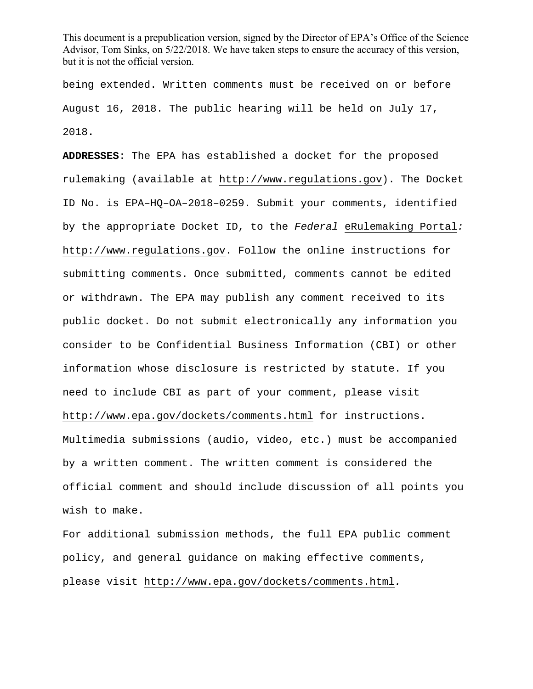being extended. Written comments must be received on or before August 16, 2018. The public hearing will be held on July 17, 2018**.**

**ADDRESSES**: The EPA has established a docket for the proposed rulemaking (available at http://www.regulations.gov). The Docket ID No. is EPA–HQ–OA–2018–0259. Submit your comments, identified by the appropriate Docket ID, to the *Federal* eRulemaking Portal*:*  http://www.regulations.gov. Follow the online instructions for submitting comments. Once submitted, comments cannot be edited or withdrawn. The EPA may publish any comment received to its public docket. Do not submit electronically any information you consider to be Confidential Business Information (CBI) or other information whose disclosure is restricted by statute. If you need to include CBI as part of your comment, please visit http://www.epa.gov/dockets/comments.html for instructions. Multimedia submissions (audio, video, etc.) must be accompanied by a written comment. The written comment is considered the official comment and should include discussion of all points you wish to make.

For additional submission methods, the full EPA public comment policy, and general guidance on making effective comments, please visit http://www.epa.gov/dockets/comments.html*.*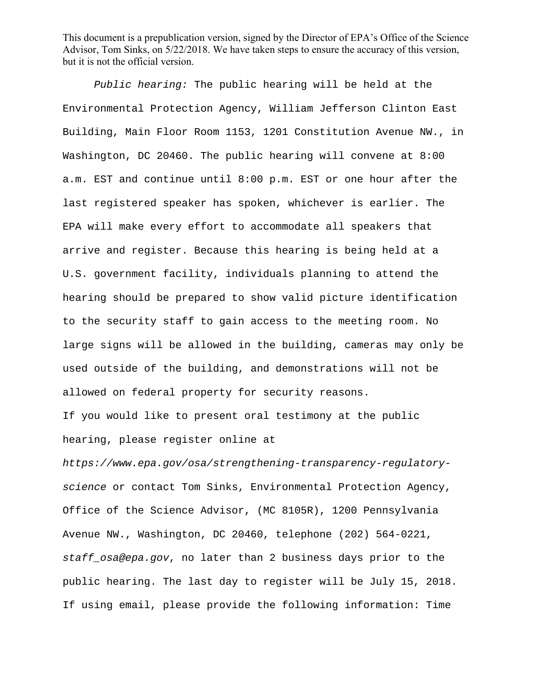*Public hearing:* The public hearing will be held at the Environmental Protection Agency, William Jefferson Clinton East Building, Main Floor Room 1153, 1201 Constitution Avenue NW., in Washington, DC 20460. The public hearing will convene at 8:00 a.m. EST and continue until 8:00 p.m. EST or one hour after the last registered speaker has spoken, whichever is earlier. The EPA will make every effort to accommodate all speakers that arrive and register. Because this hearing is being held at a U.S. government facility, individuals planning to attend the hearing should be prepared to show valid picture identification to the security staff to gain access to the meeting room. No large signs will be allowed in the building, cameras may only be used outside of the building, and demonstrations will not be allowed on federal property for security reasons.

If you would like to present oral testimony at the public hearing, please register online at

*https://www.epa.gov/osa/strengthening-transparency-regulatoryscience* or contact Tom Sinks, Environmental Protection Agency, Office of the Science Advisor, (MC 8105R), 1200 Pennsylvania Avenue NW., Washington, DC 20460, telephone (202) 564-0221, *staff\_osa@epa.gov*, no later than 2 business days prior to the public hearing. The last day to register will be July 15, 2018. If using email, please provide the following information: Time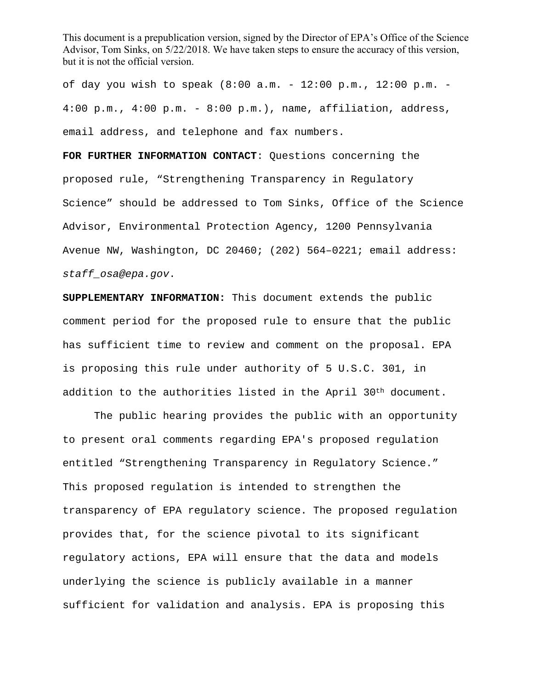of day you wish to speak (8:00 a.m. - 12:00 p.m., 12:00 p.m. - 4:00 p.m., 4:00 p.m. - 8:00 p.m.), name, affiliation, address, email address, and telephone and fax numbers.

**FOR FURTHER INFORMATION CONTACT**: Questions concerning the proposed rule, "Strengthening Transparency in Regulatory Science" should be addressed to Tom Sinks, Office of the Science Advisor, Environmental Protection Agency, 1200 Pennsylvania Avenue NW, Washington, DC 20460; (202) 564–0221; email address: *staff\_osa@epa.gov*.

**SUPPLEMENTARY INFORMATION:** This document extends the public comment period for the proposed rule to ensure that the public has sufficient time to review and comment on the proposal. EPA is proposing this rule under authority of 5 U.S.C. 301, in addition to the authorities listed in the April 30<sup>th</sup> document.

The public hearing provides the public with an opportunity to present oral comments regarding EPA's proposed regulation entitled "Strengthening Transparency in Regulatory Science." This proposed regulation is intended to strengthen the transparency of EPA regulatory science. The proposed regulation provides that, for the science pivotal to its significant regulatory actions, EPA will ensure that the data and models underlying the science is publicly available in a manner sufficient for validation and analysis. EPA is proposing this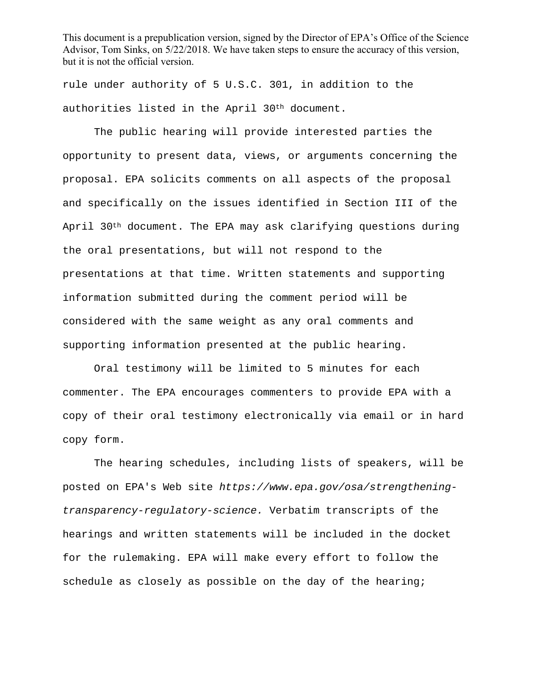rule under authority of 5 U.S.C. 301, in addition to the authorities listed in the April 30th document.

The public hearing will provide interested parties the opportunity to present data, views, or arguments concerning the proposal. EPA solicits comments on all aspects of the proposal and specifically on the issues identified in Section III of the April 30<sup>th</sup> document. The EPA may ask clarifying questions during the oral presentations, but will not respond to the presentations at that time. Written statements and supporting information submitted during the comment period will be considered with the same weight as any oral comments and supporting information presented at the public hearing.

Oral testimony will be limited to 5 minutes for each commenter. The EPA encourages commenters to provide EPA with a copy of their oral testimony electronically via email or in hard copy form.

The hearing schedules, including lists of speakers, will be posted on EPA's Web site *https://www.epa.gov/osa/strengtheningtransparency-regulatory-science.* Verbatim transcripts of the hearings and written statements will be included in the docket for the rulemaking. EPA will make every effort to follow the schedule as closely as possible on the day of the hearing;